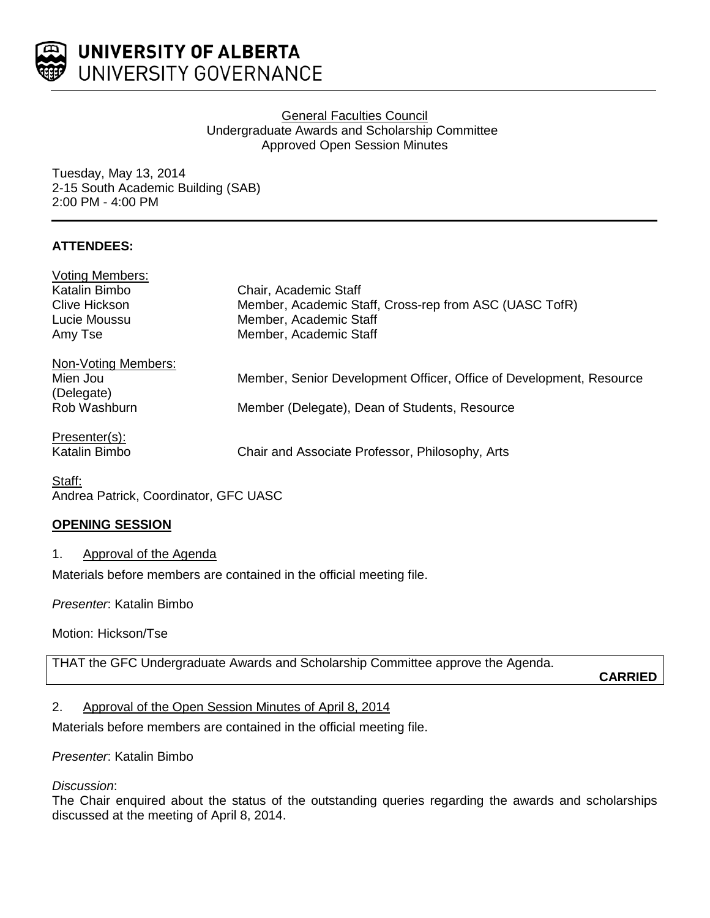

## General Faculties Council Undergraduate Awards and Scholarship Committee Approved Open Session Minutes

Tuesday, May 13, 2014 2-15 South Academic Building (SAB) 2:00 PM - 4:00 PM

# **ATTENDEES:**

| <b>Voting Members:</b> |                                                                     |
|------------------------|---------------------------------------------------------------------|
| Katalin Bimbo          | Chair, Academic Staff                                               |
| <b>Clive Hickson</b>   | Member, Academic Staff, Cross-rep from ASC (UASC TofR)              |
| Lucie Moussu           | Member, Academic Staff                                              |
| Amy Tse                | Member, Academic Staff                                              |
| Non-Voting Members:    |                                                                     |
| Mien Jou               | Member, Senior Development Officer, Office of Development, Resource |
| (Delegate)             |                                                                     |
| Rob Washburn           | Member (Delegate), Dean of Students, Resource                       |
| Presenter(s):          |                                                                     |
| Katalin Bimbo          | Chair and Associate Professor, Philosophy, Arts                     |

Staff: Andrea Patrick, Coordinator, GFC UASC

# **OPENING SESSION**

## 1. Approval of the Agenda

Materials before members are contained in the official meeting file.

*Presenter*: Katalin Bimbo

Motion: Hickson/Tse

THAT the GFC Undergraduate Awards and Scholarship Committee approve the Agenda.

**CARRIED**

## 2. Approval of the Open Session Minutes of April 8, 2014

Materials before members are contained in the official meeting file.

*Presenter*: Katalin Bimbo

### *Discussion*:

The Chair enquired about the status of the outstanding queries regarding the awards and scholarships discussed at the meeting of April 8, 2014.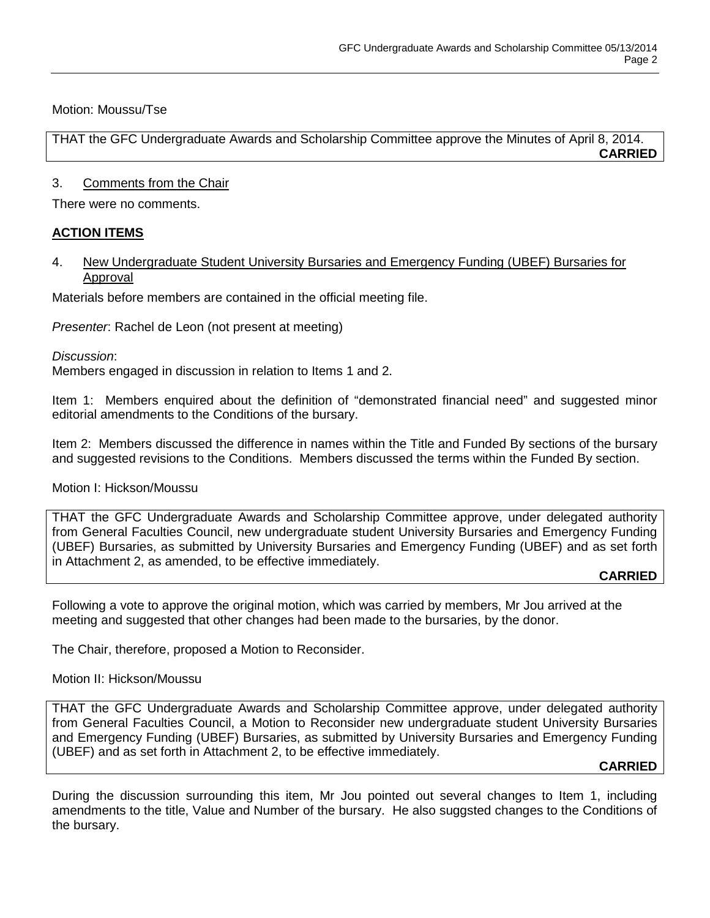Motion: Moussu/Tse

THAT the GFC Undergraduate Awards and Scholarship Committee approve the Minutes of April 8, 2014. **CARRIED**

### 3. Comments from the Chair

There were no comments.

## **ACTION ITEMS**

## 4. New Undergraduate Student University Bursaries and Emergency Funding (UBEF) Bursaries for Approval

Materials before members are contained in the official meeting file.

*Presenter*: Rachel de Leon (not present at meeting)

*Discussion*:

Members engaged in discussion in relation to Items 1 and 2.

Item 1: Members enquired about the definition of "demonstrated financial need" and suggested minor editorial amendments to the Conditions of the bursary.

Item 2: Members discussed the difference in names within the Title and Funded By sections of the bursary and suggested revisions to the Conditions. Members discussed the terms within the Funded By section.

Motion I: Hickson/Moussu

THAT the GFC Undergraduate Awards and Scholarship Committee approve, under delegated authority from General Faculties Council, new undergraduate student University Bursaries and Emergency Funding (UBEF) Bursaries, as submitted by University Bursaries and Emergency Funding (UBEF) and as set forth in Attachment 2, as amended, to be effective immediately.

#### **CARRIED**

Following a vote to approve the original motion, which was carried by members, Mr Jou arrived at the meeting and suggested that other changes had been made to the bursaries, by the donor.

The Chair, therefore, proposed a Motion to Reconsider.

Motion II: Hickson/Moussu

THAT the GFC Undergraduate Awards and Scholarship Committee approve, under delegated authority from General Faculties Council, a Motion to Reconsider new undergraduate student University Bursaries and Emergency Funding (UBEF) Bursaries, as submitted by University Bursaries and Emergency Funding (UBEF) and as set forth in Attachment 2, to be effective immediately.

#### **CARRIED**

During the discussion surrounding this item, Mr Jou pointed out several changes to Item 1, including amendments to the title, Value and Number of the bursary. He also suggsted changes to the Conditions of the bursary.